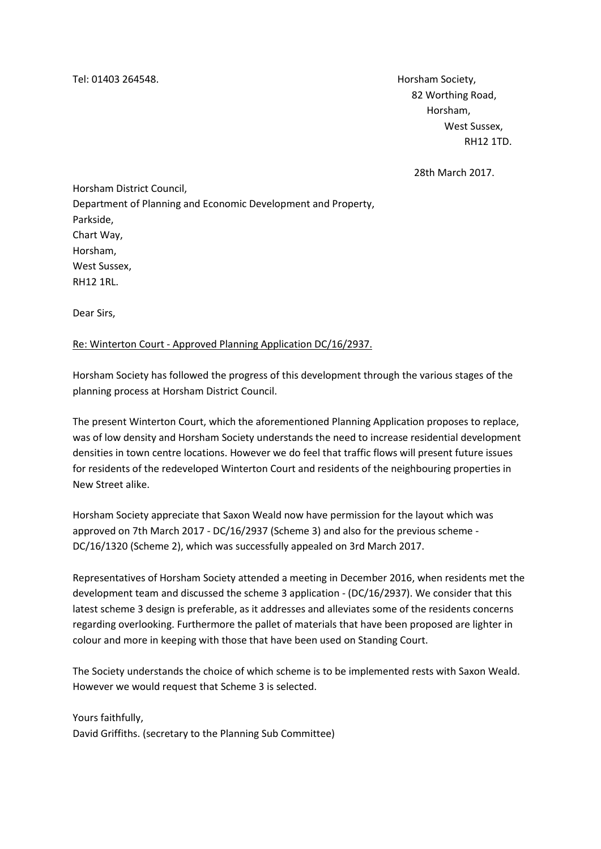Tel: 01403 264548. Horsham Society,

 82 Worthing Road, Horsham, West Sussex, RH12 1TD.

28th March 2017.

Horsham District Council, Department of Planning and Economic Development and Property, Parkside, Chart Way, Horsham, West Sussex, RH12 1RL.

Dear Sirs,

## Re: Winterton Court - Approved Planning Application DC/16/2937.

Horsham Society has followed the progress of this development through the various stages of the planning process at Horsham District Council.

The present Winterton Court, which the aforementioned Planning Application proposes to replace, was of low density and Horsham Society understands the need to increase residential development densities in town centre locations. However we do feel that traffic flows will present future issues for residents of the redeveloped Winterton Court and residents of the neighbouring properties in New Street alike.

Horsham Society appreciate that Saxon Weald now have permission for the layout which was approved on 7th March 2017 - DC/16/2937 (Scheme 3) and also for the previous scheme - DC/16/1320 (Scheme 2), which was successfully appealed on 3rd March 2017.

Representatives of Horsham Society attended a meeting in December 2016, when residents met the development team and discussed the scheme 3 application - (DC/16/2937). We consider that this latest scheme 3 design is preferable, as it addresses and alleviates some of the residents concerns regarding overlooking. Furthermore the pallet of materials that have been proposed are lighter in colour and more in keeping with those that have been used on Standing Court.

The Society understands the choice of which scheme is to be implemented rests with Saxon Weald. However we would request that Scheme 3 is selected.

Yours faithfully, David Griffiths. (secretary to the Planning Sub Committee)